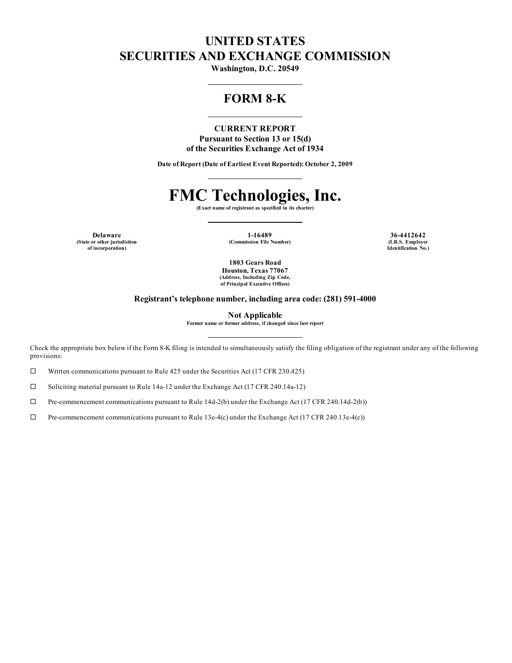## **UNITED STATES SECURITIES AND EXCHANGE COMMISSION**

**Washington, D.C. 20549**

### **FORM 8-K**

**CURRENT REPORT Pursuant to Section 13 or 15(d) of the Securities Exchange Act of 1934**

**Date of Report (Date of Earliest Event Reported): October 2, 2009**

# **FMC Technologies, Inc.**

**(Exact name of registrant as specified in its charter)**

**(State or other jurisdiction of incorporation)**

**Delaware 1-16489 36-4412642 (Commission File Number) (I.R.S. Employer**

**Identification No.)**

**1803 Gears Road Houston, Texas 77067 (Address, Including Zip Code, of Principal Executive Offices)**

**Registrant's telephone number, including area code: (281) 591-4000**

**Not Applicable**

**Former name or former address, if changed since last report**

Check the appropriate box below if the Form 8-K filing is intended to simultaneously satisfy the filing obligation of the registrant under any of the following provisions:

 $\Box$  Written communications pursuant to Rule 425 under the Securities Act (17 CFR 230.425)

□ Soliciting material pursuant to Rule 14a-12 under the Exchange Act (17 CFR 240.14a-12)

 $\Box$  Pre-commencement communications pursuant to Rule 14d-2(b) under the Exchange Act (17 CFR 240.14d-2(b))

 $\Box$  Pre-commencement communications pursuant to Rule 13e-4(c) under the Exchange Act (17 CFR 240.13e-4(c))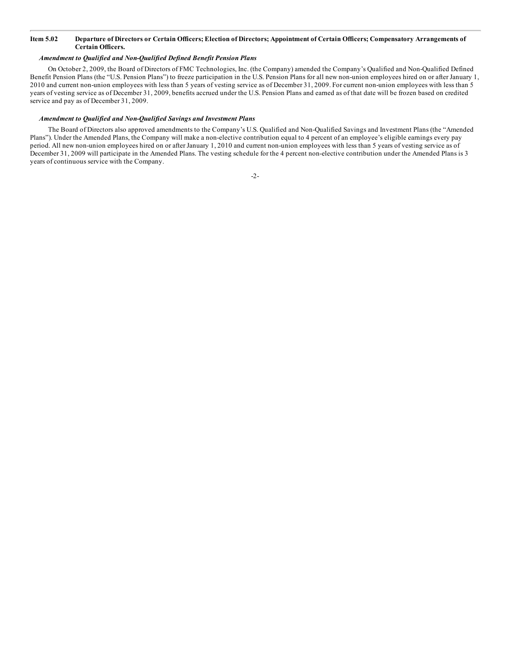#### Item 5.02 Departure of Directors or Certain Officers; Election of Directors; Appointment of Certain Officers; Compensatory Arrangements of **Certain Officers.**

#### *Amendment to Qualified and Non-Qualified Defined Benefit Pension Plans*

On October 2, 2009, the Board of Directors of FMC Technologies, Inc. (the Company) amended the Company's Qualified and Non-Qualified Defined Benefit Pension Plans (the "U.S. Pension Plans") to freeze participation in the U.S. Pension Plans for all new non-union employees hired on or after January 1, 2010 and current non-union employees with less than 5 years of vesting service as of December 31, 2009. For current non-union employees with less than 5 years of vesting service as of December 31, 2009, benefits accrued under the U.S. Pension Plans and earned as of that date will be frozen based on credited service and pay as of December 31, 2009.

#### *Amendment to Qualified and Non-Qualified Savings and Investment Plans*

The Board of Directors also approved amendments to the Company's U.S. Qualified and Non-Qualified Savings and Investment Plans (the "Amended Plans"). Under the Amended Plans, the Company will make a non-elective contribution equal to 4 percent of an employee's eligible earnings every pay period. All new non-union employees hired on or after January 1, 2010 and current non-union employees with less than 5 years of vesting service as of December 31, 2009 will participate in the Amended Plans. The vesting schedule for the 4 percent non-elective contribution under the Amended Plans is 3 years of continuous service with the Company.

-2-